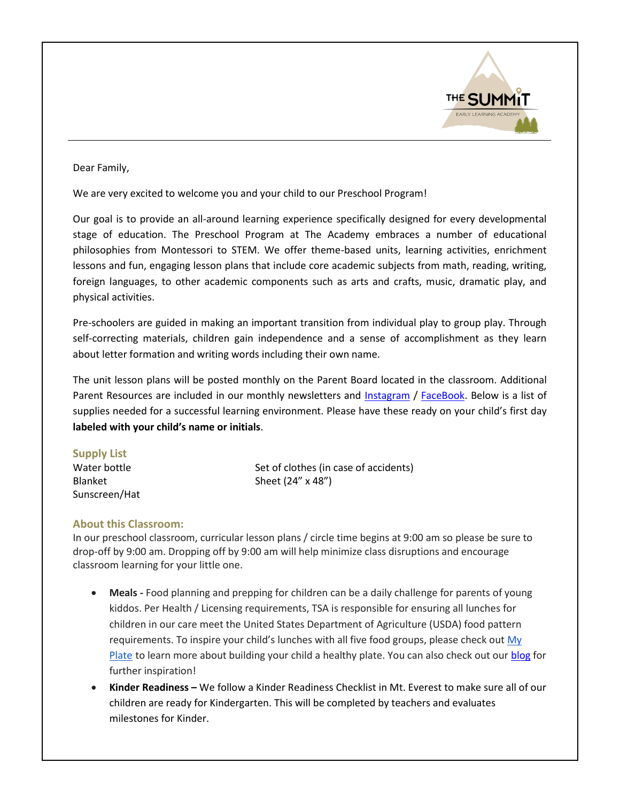

## Dear Family,

We are very excited to welcome you and your child to our Preschool Program!

Our goal is to provide an all-around learning experience specifically designed for every developmental stage of education. The Preschool Program at The Academy embraces a number of educational philosophies from Montessori to STEM. We offer theme-based units, learning activities, enrichment lessons and fun, engaging lesson plans that include core academic subjects from math, reading, writing, foreign languages, to other academic components such as arts and crafts, music, dramatic play, and physical activities.

Pre-schoolers are guided in making an important transition from individual play to group play. Through self-correcting materials, children gain independence and a sense of accomplishment as they learn about letter formation and writing words including their own name.

The unit lesson plans will be posted monthly on the Parent Board located in the classroom. Additional Parent Resources are included in our monthly newsletters and [Instagram](https://www.instagram.com/the_summit_academy/?utm_medium=copy_link) / [FaceBook.](https://www.facebook.com/The-Summit-Academy-111654264620422/) Below is a list of supplies needed for a successful learning environment. Please have these ready on your child's first day **labeled with your child's name or initials**.

## **Supply List**

Sunscreen/Hat

Water bottle Set of clothes (in case of accidents) Blanket Sheet (24" x 48")

## **About this Classroom:**

In our preschool classroom, curricular lesson plans / circle time begins at 9:00 am so please be sure to drop-off by 9:00 am. Dropping off by 9:00 am will help minimize class disruptions and encourage classroom learning for your little one.

- **Meals -** Food planning and prepping for children can be a daily challenge for parents of young kiddos. Per Health / Licensing requirements, TSA is responsible for ensuring all lunches for children in our care meet the United States Department of Agriculture (USDA) food pattern requirements. To inspire your child's lunches with all five food groups, please check out My [Plate](https://www.myplate.gov/) to learn more about building your child a healthy plate. You can also check out ou[r blog](https://www.thesummitacademy.co/post/5-healthy-recipes-to-pack-a-nut-free-lunch-for-school) for further inspiration!
- **Kinder Readiness –** We follow a Kinder Readiness Checklist in Mt. Everest to make sure all of our children are ready for Kindergarten. This will be completed by teachers and evaluates milestones for Kinder.